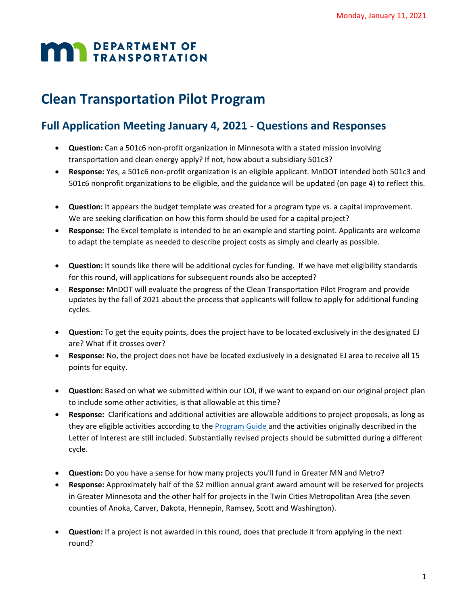## **MAY DEPARTMENT OF TRANSPORTATION**

## **Clean Transportation Pilot Program**

## **Full Application Meeting January 4, 2021 - Questions and Responses**

- **Question:** Can a 501c6 non-profit organization in Minnesota with a stated mission involving transportation and clean energy apply? If not, how about a subsidiary 501c3?
- **Response:** Yes, a 501c6 non-profit organization is an eligible applicant. MnDOT intended both 501c3 and 501c6 nonprofit organizations to be eligible, and the guidance will be updated (on page 4) to reflect this.
- **Question:** It appears the budget template was created for a program type vs. a capital improvement. We are seeking clarification on how this form should be used for a capital project?
- **Response:** The Excel template is intended to be an example and starting point. Applicants are welcome to adapt the template as needed to describe project costs as simply and clearly as possible.
- **Question:** It sounds like there will be additional cycles for funding. If we have met eligibility standards for this round, will applications for subsequent rounds also be accepted?
- **Response:** MnDOT will evaluate the progress of the Clean Transportation Pilot Program and provide updates by the fall of 2021 about the process that applicants will follow to apply for additional funding cycles.
- **Question:** To get the equity points, does the project have to be located exclusively in the designated EJ are? What if it crosses over?
- **Response:** No, the project does not have be located exclusively in a designated EJ area to receive all 15 points for equity.
- **Question:** Based on what we submitted within our LOI, if we want to expand on our original project plan to include some other activities, is that allowable at this time?
- **Response:** Clarifications and additional activities are allowable additions to project proposals, as long as they are eligible activities according to the [Program Guide](http://www.dot.state.mn.us/sustainability/docs/clean-transportation-pilot-guide.pdf) and the activities originally described in the Letter of Interest are still included. Substantially revised projects should be submitted during a different cycle.
- **Question:** Do you have a sense for how many projects you'll fund in Greater MN and Metro?
- **Response:** Approximately half of the \$2 million annual grant award amount will be reserved for projects in Greater Minnesota and the other half for projects in the Twin Cities Metropolitan Area (the seven counties of Anoka, Carver, Dakota, Hennepin, Ramsey, Scott and Washington).
- **Question:** If a project is not awarded in this round, does that preclude it from applying in the next round?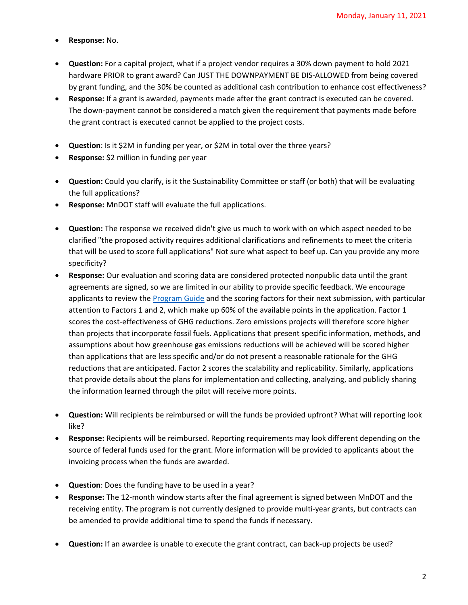- **Response:** No.
- **Question:** For a capital project, what if a project vendor requires a 30% down payment to hold 2021 hardware PRIOR to grant award? Can JUST THE DOWNPAYMENT BE DIS-ALLOWED from being covered by grant funding, and the 30% be counted as additional cash contribution to enhance cost effectiveness?
- **Response:** If a grant is awarded, payments made after the grant contract is executed can be covered. The down-payment cannot be considered a match given the requirement that payments made before the grant contract is executed cannot be applied to the project costs.
- **Question**: Is it \$2M in funding per year, or \$2M in total over the three years?
- **Response:** \$2 million in funding per year
- **Question:** Could you clarify, is it the Sustainability Committee or staff (or both) that will be evaluating the full applications?
- **Response:** MnDOT staff will evaluate the full applications.
- **Question:** The response we received didn't give us much to work with on which aspect needed to be clarified "the proposed activity requires additional clarifications and refinements to meet the criteria that will be used to score full applications" Not sure what aspect to beef up. Can you provide any more specificity?
- **Response:** Our evaluation and scoring data are considered protected nonpublic data until the grant agreements are signed, so we are limited in our ability to provide specific feedback. We encourage applicants to review the [Program Guide](http://www.dot.state.mn.us/sustainability/docs/clean-transportation-pilot-guide.pdf) and the scoring factors for their next submission, with particular attention to Factors 1 and 2, which make up 60% of the available points in the application. Factor 1 scores the cost-effectiveness of GHG reductions. Zero emissions projects will therefore score higher than projects that incorporate fossil fuels. Applications that present specific information, methods, and assumptions about how greenhouse gas emissions reductions will be achieved will be scored higher than applications that are less specific and/or do not present a reasonable rationale for the GHG reductions that are anticipated. Factor 2 scores the scalability and replicability. Similarly, applications that provide details about the plans for implementation and collecting, analyzing, and publicly sharing the information learned through the pilot will receive more points.
- **Question:** Will recipients be reimbursed or will the funds be provided upfront? What will reporting look like?
- **Response:** Recipients will be reimbursed. Reporting requirements may look different depending on the source of federal funds used for the grant. More information will be provided to applicants about the invoicing process when the funds are awarded.
- **Question**: Does the funding have to be used in a year?
- **Response:** The 12-month window starts after the final agreement is signed between MnDOT and the receiving entity. The program is not currently designed to provide multi-year grants, but contracts can be amended to provide additional time to spend the funds if necessary.
- **Question:** If an awardee is unable to execute the grant contract, can back-up projects be used?